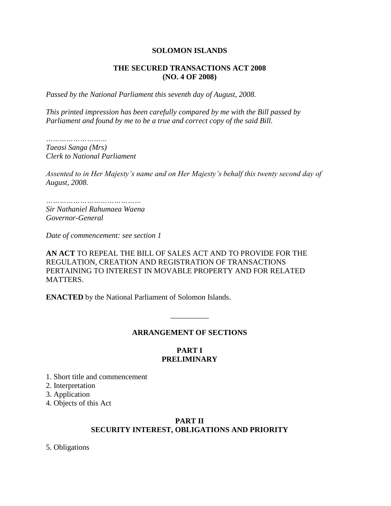### **SOLOMON ISLANDS**

#### **THE SECURED TRANSACTIONS ACT 2008 (NO. 4 OF 2008)**

*Passed by the National Parliament this seventh day of August, 2008.*

*This printed impression has been carefully compared by me with the Bill passed by Parliament and found by me to be a true and correct copy of the said Bill.*

*……………………… Taeasi Sanga (Mrs) Clerk to National Parliament*

*Assented to in Her Majesty's name and on Her Majesty's behalf this twenty second day of August, 2008.*

*…………………………………… Sir Nathaniel Rahumaea Waena Governor-General*

*Date of commencement: see section 1*

**AN ACT** TO REPEAL THE BILL OF SALES ACT AND TO PROVIDE FOR THE REGULATION, CREATION AND REGISTRATION OF TRANSACTIONS PERTAINING TO INTEREST IN MOVABLE PROPERTY AND FOR RELATED MATTERS.

**ENACTED** by the National Parliament of Solomon Islands.

#### **ARRANGEMENT OF SECTIONS**

\_\_\_\_\_\_\_\_\_\_

### **PART I PRELIMINARY**

1. Short title and commencement

2. Interpretation

3. Application

4. Objects of this Act

#### **PART II SECURITY INTEREST, OBLIGATIONS AND PRIORITY**

5. Obligations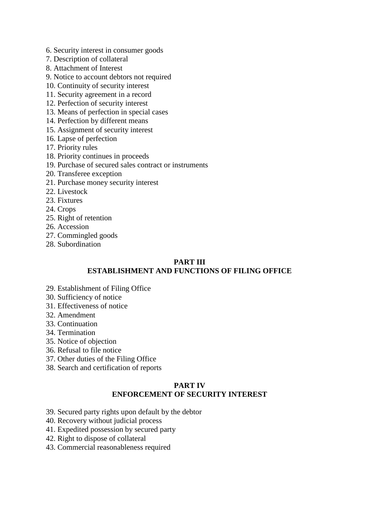- 6. Security interest in consumer goods
- 7. Description of collateral
- 8. Attachment of Interest
- 9. Notice to account debtors not required
- 10. Continuity of security interest
- 11. Security agreement in a record
- 12. Perfection of security interest
- 13. Means of perfection in special cases
- 14. Perfection by different means
- 15. Assignment of security interest
- 16. Lapse of perfection
- 17. Priority rules
- 18. Priority continues in proceeds
- 19. Purchase of secured sales contract or instruments
- 20. Transferee exception
- 21. Purchase money security interest
- 22. Livestock
- 23. Fixtures
- 24. Crops
- 25. Right of retention
- 26. Accession
- 27. Commingled goods
- 28. Subordination

### **PART III ESTABLISHMENT AND FUNCTIONS OF FILING OFFICE**

- 29. Establishment of Filing Office
- 30. Sufficiency of notice
- 31. Effectiveness of notice
- 32. Amendment
- 33. Continuation
- 34. Termination
- 35. Notice of objection
- 36. Refusal to file notice
- 37. Other duties of the Filing Office
- 38. Search and certification of reports

# **PART IV ENFORCEMENT OF SECURITY INTEREST**

- 39. Secured party rights upon default by the debtor
- 40. Recovery without judicial process
- 41. Expedited possession by secured party
- 42. Right to dispose of collateral
- 43. Commercial reasonableness required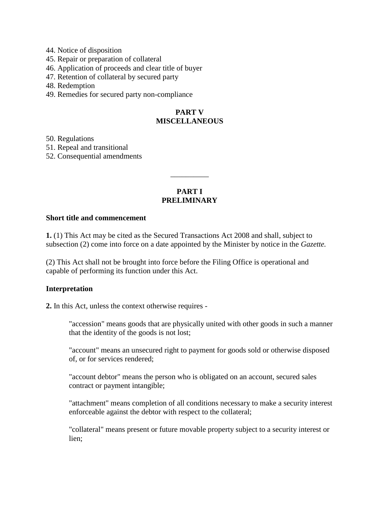- 44. Notice of disposition
- 45. Repair or preparation of collateral
- 46. Application of proceeds and clear title of buyer
- 47. Retention of collateral by secured party

48. Redemption

49. Remedies for secured party non-compliance

# **PART V MISCELLANEOUS**

50. Regulations

51. Repeal and transitional

52. Consequential amendments

# **PART I PRELIMINARY**

\_\_\_\_\_\_\_\_\_\_

#### **Short title and commencement**

**1.** (1) This Act may be cited as the Secured Transactions Act 2008 and shall, subject to subsection (2) come into force on a date appointed by the Minister by notice in the *Gazette.*

(2) This Act shall not be brought into force before the Filing Office is operational and capable of performing its function under this Act.

### **Interpretation**

**2.** In this Act, unless the context otherwise requires -

"accession" means goods that are physically united with other goods in such a manner that the identity of the goods is not lost;

"account" means an unsecured right to payment for goods sold or otherwise disposed of, or for services rendered;

"account debtor" means the person who is obligated on an account, secured sales contract or payment intangible;

"attachment" means completion of all conditions necessary to make a security interest enforceable against the debtor with respect to the collateral;

"collateral" means present or future movable property subject to a security interest or lien;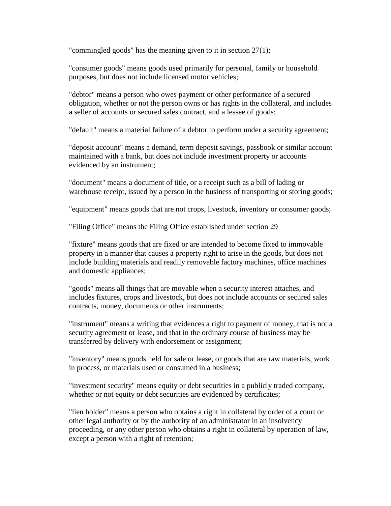"commingled goods" has the meaning given to it in section 27(1);

"consumer goods" means goods used primarily for personal, family or household purposes, but does not include licensed motor vehicles;

"debtor" means a person who owes payment or other performance of a secured obligation, whether or not the person owns or has rights in the collateral, and includes a seller of accounts or secured sales contract, and a lessee of goods;

"default" means a material failure of a debtor to perform under a security agreement;

"deposit account" means a demand, term deposit savings, passbook or similar account maintained with a bank, but does not include investment property or accounts evidenced by an instrument;

"document" means a document of title, or a receipt such as a bill of lading or warehouse receipt, issued by a person in the business of transporting or storing goods;

"equipment" means goods that are not crops, livestock, inventory or consumer goods;

"Filing Office" means the Filing Office established under section 29

"fixture" means goods that are fixed or are intended to become fixed to immovable property in a manner that causes a property right to arise in the goods, but does not include building materials and readily removable factory machines, office machines and domestic appliances;

"goods" means all things that are movable when a security interest attaches, and includes fixtures, crops and livestock, but does not include accounts or secured sales contracts, money, documents or other instruments;

"instrument" means a writing that evidences a right to payment of money, that is not a security agreement or lease, and that in the ordinary course of business may be transferred by delivery with endorsement or assignment;

"inventory" means goods held for sale or lease, or goods that are raw materials, work in process, or materials used or consumed in a business;

"investment security" means equity or debt securities in a publicly traded company, whether or not equity or debt securities are evidenced by certificates;

"lien holder" means a person who obtains a right in collateral by order of a court or other legal authority or by the authority of an administrator in an insolvency proceeding, or any other person who obtains a right in collateral by operation of law, except a person with a right of retention;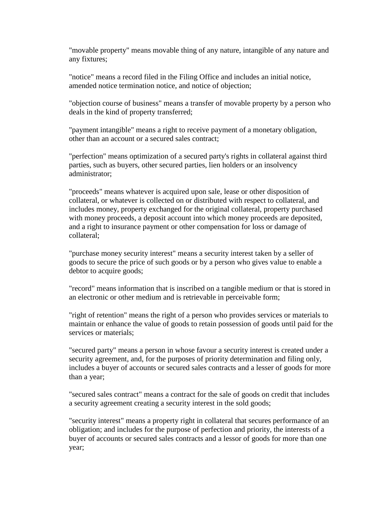"movable property" means movable thing of any nature, intangible of any nature and any fixtures;

"notice" means a record filed in the Filing Office and includes an initial notice, amended notice termination notice, and notice of objection;

"objection course of business" means a transfer of movable property by a person who deals in the kind of property transferred;

"payment intangible" means a right to receive payment of a monetary obligation, other than an account or a secured sales contract;

"perfection" means optimization of a secured party's rights in collateral against third parties, such as buyers, other secured parties, lien holders or an insolvency administrator;

"proceeds" means whatever is acquired upon sale, lease or other disposition of collateral, or whatever is collected on or distributed with respect to collateral, and includes money, property exchanged for the original collateral, property purchased with money proceeds, a deposit account into which money proceeds are deposited, and a right to insurance payment or other compensation for loss or damage of collateral;

"purchase money security interest" means a security interest taken by a seller of goods to secure the price of such goods or by a person who gives value to enable a debtor to acquire goods;

"record" means information that is inscribed on a tangible medium or that is stored in an electronic or other medium and is retrievable in perceivable form;

"right of retention" means the right of a person who provides services or materials to maintain or enhance the value of goods to retain possession of goods until paid for the services or materials:

"secured party" means a person in whose favour a security interest is created under a security agreement, and, for the purposes of priority determination and filing only, includes a buyer of accounts or secured sales contracts and a lesser of goods for more than a year;

"secured sales contract" means a contract for the sale of goods on credit that includes a security agreement creating a security interest in the sold goods;

"security interest" means a property right in collateral that secures performance of an obligation; and includes for the purpose of perfection and priority, the interests of a buyer of accounts or secured sales contracts and a lessor of goods for more than one year;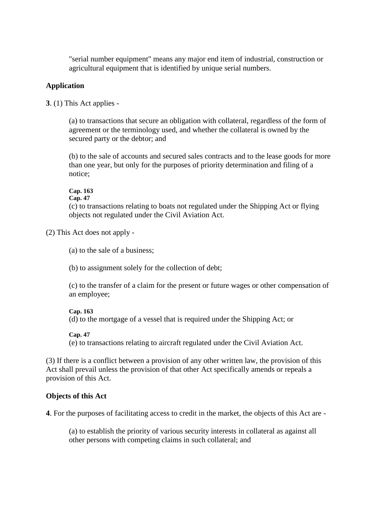"serial number equipment" means any major end item of industrial, construction or agricultural equipment that is identified by unique serial numbers.

### **Application**

**3**. (1) This Act applies -

(a) to transactions that secure an obligation with collateral, regardless of the form of agreement or the terminology used, and whether the collateral is owned by the secured party or the debtor; and

(b) to the sale of accounts and secured sales contracts and to the lease goods for more than one year, but only for the purposes of priority determination and filing of a notice;

## **Cap. 163**

**Cap. 47**

(c) to transactions relating to boats not regulated under the Shipping Act or flying objects not regulated under the Civil Aviation Act.

(2) This Act does not apply -

(a) to the sale of a business;

(b) to assignment solely for the collection of debt;

(c) to the transfer of a claim for the present or future wages or other compensation of an employee;

### **Cap. 163**

(d) to the mortgage of a vessel that is required under the Shipping Act; or

### **Cap. 47**

(e) to transactions relating to aircraft regulated under the Civil Aviation Act.

(3) If there is a conflict between a provision of any other written law, the provision of this Act shall prevail unless the provision of that other Act specifically amends or repeals a provision of this Act.

# **Objects of this Act**

**4**. For the purposes of facilitating access to credit in the market, the objects of this Act are -

(a) to establish the priority of various security interests in collateral as against all other persons with competing claims in such collateral; and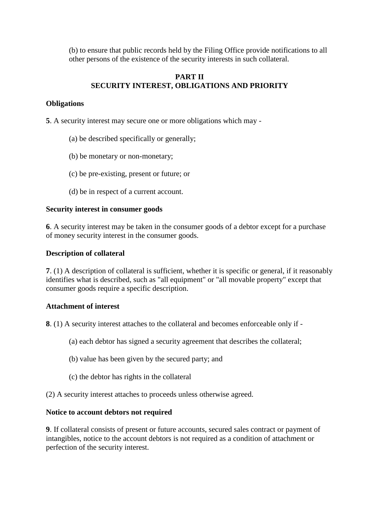(b) to ensure that public records held by the Filing Office provide notifications to all other persons of the existence of the security interests in such collateral.

# **PART II SECURITY INTEREST, OBLIGATIONS AND PRIORITY**

## **Obligations**

**5**. A security interest may secure one or more obligations which may -

- (a) be described specifically or generally;
- (b) be monetary or non-monetary;
- (c) be pre-existing, present or future; or
- (d) be in respect of a current account.

### **Security interest in consumer goods**

**6**. A security interest may be taken in the consumer goods of a debtor except for a purchase of money security interest in the consumer goods.

#### **Description of collateral**

**7**. (1) A description of collateral is sufficient, whether it is specific or general, if it reasonably identifies what is described, such as "all equipment" or "all movable property" except that consumer goods require a specific description.

### **Attachment of interest**

**8**. (1) A security interest attaches to the collateral and becomes enforceable only if -

- (a) each debtor has signed a security agreement that describes the collateral;
- (b) value has been given by the secured party; and
- (c) the debtor has rights in the collateral
- (2) A security interest attaches to proceeds unless otherwise agreed.

#### **Notice to account debtors not required**

**9**. If collateral consists of present or future accounts, secured sales contract or payment of intangibles, notice to the account debtors is not required as a condition of attachment or perfection of the security interest.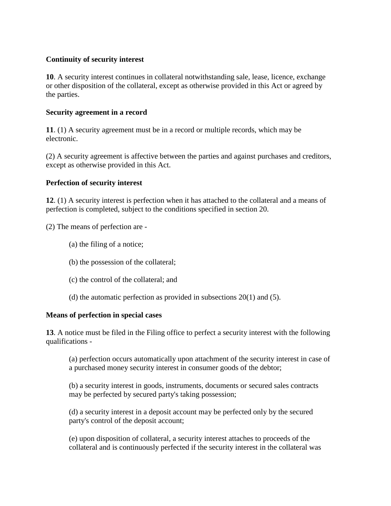## **Continuity of security interest**

**10**. A security interest continues in collateral notwithstanding sale, lease, licence, exchange or other disposition of the collateral, except as otherwise provided in this Act or agreed by the parties.

### **Security agreement in a record**

**11**. (1) A security agreement must be in a record or multiple records, which may be electronic.

(2) A security agreement is affective between the parties and against purchases and creditors, except as otherwise provided in this Act.

## **Perfection of security interest**

**12**. (1) A security interest is perfection when it has attached to the collateral and a means of perfection is completed, subject to the conditions specified in section 20.

(2) The means of perfection are -

- (a) the filing of a notice;
- (b) the possession of the collateral;
- (c) the control of the collateral; and
- (d) the automatic perfection as provided in subsections  $20(1)$  and  $(5)$ .

### **Means of perfection in special cases**

**13**. A notice must be filed in the Filing office to perfect a security interest with the following qualifications -

(a) perfection occurs automatically upon attachment of the security interest in case of a purchased money security interest in consumer goods of the debtor;

(b) a security interest in goods, instruments, documents or secured sales contracts may be perfected by secured party's taking possession;

(d) a security interest in a deposit account may be perfected only by the secured party's control of the deposit account;

(e) upon disposition of collateral, a security interest attaches to proceeds of the collateral and is continuously perfected if the security interest in the collateral was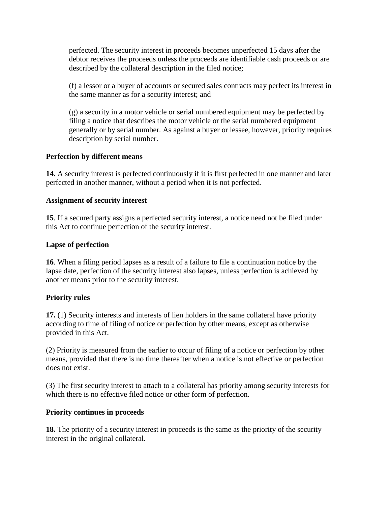perfected. The security interest in proceeds becomes unperfected 15 days after the debtor receives the proceeds unless the proceeds are identifiable cash proceeds or are described by the collateral description in the filed notice;

(f) a lessor or a buyer of accounts or secured sales contracts may perfect its interest in the same manner as for a security interest; and

(g) a security in a motor vehicle or serial numbered equipment may be perfected by filing a notice that describes the motor vehicle or the serial numbered equipment generally or by serial number. As against a buyer or lessee, however, priority requires description by serial number.

## **Perfection by different means**

**14.** A security interest is perfected continuously if it is first perfected in one manner and later perfected in another manner, without a period when it is not perfected.

## **Assignment of security interest**

**15**. If a secured party assigns a perfected security interest, a notice need not be filed under this Act to continue perfection of the security interest.

## **Lapse of perfection**

**16**. When a filing period lapses as a result of a failure to file a continuation notice by the lapse date, perfection of the security interest also lapses, unless perfection is achieved by another means prior to the security interest.

# **Priority rules**

**17.** (1) Security interests and interests of lien holders in the same collateral have priority according to time of filing of notice or perfection by other means, except as otherwise provided in this Act.

(2) Priority is measured from the earlier to occur of filing of a notice or perfection by other means, provided that there is no time thereafter when a notice is not effective or perfection does not exist.

(3) The first security interest to attach to a collateral has priority among security interests for which there is no effective filed notice or other form of perfection.

# **Priority continues in proceeds**

**18.** The priority of a security interest in proceeds is the same as the priority of the security interest in the original collateral.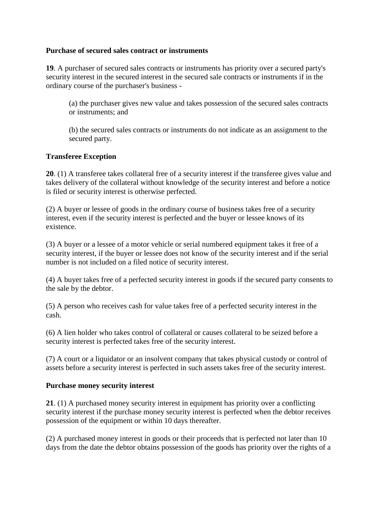## **Purchase of secured sales contract or instruments**

**19**. A purchaser of secured sales contracts or instruments has priority over a secured party's security interest in the secured interest in the secured sale contracts or instruments if in the ordinary course of the purchaser's business -

(a) the purchaser gives new value and takes possession of the secured sales contracts or instruments; and

(b) the secured sales contracts or instruments do not indicate as an assignment to the secured party.

## **Transferee Exception**

**20**. (1) A transferee takes collateral free of a security interest if the transferee gives value and takes delivery of the collateral without knowledge of the security interest and before a notice is filed or security interest is otherwise perfected.

(2) A buyer or lessee of goods in the ordinary course of business takes free of a security interest, even if the security interest is perfected and the buyer or lessee knows of its existence.

(3) A buyer or a lessee of a motor vehicle or serial numbered equipment takes it free of a security interest, if the buyer or lessee does not know of the security interest and if the serial number is not included on a filed notice of security interest.

(4) A buyer takes free of a perfected security interest in goods if the secured party consents to the sale by the debtor.

(5) A person who receives cash for value takes free of a perfected security interest in the cash.

(6) A lien holder who takes control of collateral or causes collateral to be seized before a security interest is perfected takes free of the security interest.

(7) A court or a liquidator or an insolvent company that takes physical custody or control of assets before a security interest is perfected in such assets takes free of the security interest.

### **Purchase money security interest**

**21**. (1) A purchased money security interest in equipment has priority over a conflicting security interest if the purchase money security interest is perfected when the debtor receives possession of the equipment or within 10 days thereafter.

(2) A purchased money interest in goods or their proceeds that is perfected not later than 10 days from the date the debtor obtains possession of the goods has priority over the rights of a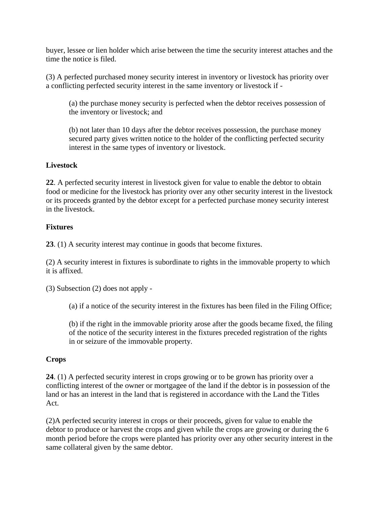buyer, lessee or lien holder which arise between the time the security interest attaches and the time the notice is filed.

(3) A perfected purchased money security interest in inventory or livestock has priority over a conflicting perfected security interest in the same inventory or livestock if -

(a) the purchase money security is perfected when the debtor receives possession of the inventory or livestock; and

(b) not later than 10 days after the debtor receives possession, the purchase money secured party gives written notice to the holder of the conflicting perfected security interest in the same types of inventory or livestock.

# **Livestock**

**22**. A perfected security interest in livestock given for value to enable the debtor to obtain food or medicine for the livestock has priority over any other security interest in the livestock or its proceeds granted by the debtor except for a perfected purchase money security interest in the livestock.

# **Fixtures**

**23**. (1) A security interest may continue in goods that become fixtures.

(2) A security interest in fixtures is subordinate to rights in the immovable property to which it is affixed.

(3) Subsection (2) does not apply -

(a) if a notice of the security interest in the fixtures has been filed in the Filing Office;

(b) if the right in the immovable priority arose after the goods became fixed, the filing of the notice of the security interest in the fixtures preceded registration of the rights in or seizure of the immovable property.

# **Crops**

**24**. (1) A perfected security interest in crops growing or to be grown has priority over a conflicting interest of the owner or mortgagee of the land if the debtor is in possession of the land or has an interest in the land that is registered in accordance with the Land the Titles Act.

(2)A perfected security interest in crops or their proceeds, given for value to enable the debtor to produce or harvest the crops and given while the crops are growing or during the 6 month period before the crops were planted has priority over any other security interest in the same collateral given by the same debtor.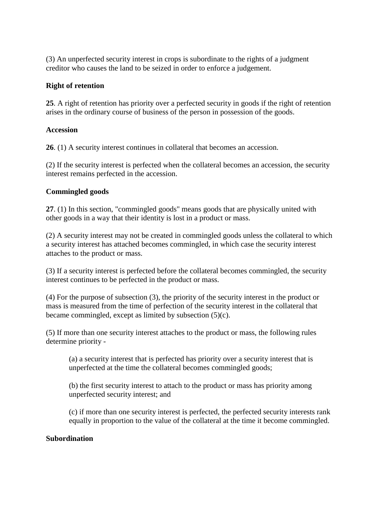(3) An unperfected security interest in crops is subordinate to the rights of a judgment creditor who causes the land to be seized in order to enforce a judgement.

### **Right of retention**

**25**. A right of retention has priority over a perfected security in goods if the right of retention arises in the ordinary course of business of the person in possession of the goods.

### **Accession**

**26**. (1) A security interest continues in collateral that becomes an accession.

(2) If the security interest is perfected when the collateral becomes an accession, the security interest remains perfected in the accession.

### **Commingled goods**

**27**. (1) In this section, "commingled goods" means goods that are physically united with other goods in a way that their identity is lost in a product or mass.

(2) A security interest may not be created in commingled goods unless the collateral to which a security interest has attached becomes commingled, in which case the security interest attaches to the product or mass.

(3) If a security interest is perfected before the collateral becomes commingled, the security interest continues to be perfected in the product or mass.

(4) For the purpose of subsection (3), the priority of the security interest in the product or mass is measured from the time of perfection of the security interest in the collateral that became commingled, except as limited by subsection (5)(c).

(5) If more than one security interest attaches to the product or mass, the following rules determine priority -

(a) a security interest that is perfected has priority over a security interest that is unperfected at the time the collateral becomes commingled goods;

(b) the first security interest to attach to the product or mass has priority among unperfected security interest; and

(c) if more than one security interest is perfected, the perfected security interests rank equally in proportion to the value of the collateral at the time it become commingled.

#### **Subordination**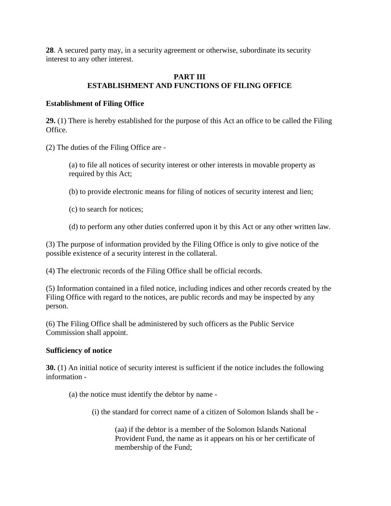**28**. A secured party may, in a security agreement or otherwise, subordinate its security interest to any other interest.

## **PART III ESTABLISHMENT AND FUNCTIONS OF FILING OFFICE**

## **Establishment of Filing Office**

**29.** (1) There is hereby established for the purpose of this Act an office to be called the Filing Office.

(2) The duties of the Filing Office are -

(a) to file all notices of security interest or other interests in movable property as required by this Act;

- (b) to provide electronic means for filing of notices of security interest and lien;
- (c) to search for notices;
- (d) to perform any other duties conferred upon it by this Act or any other written law.

(3) The purpose of information provided by the Filing Office is only to give notice of the possible existence of a security interest in the collateral.

(4) The electronic records of the Filing Office shall be official records.

(5) Information contained in a filed notice, including indices and other records created by the Filing Office with regard to the notices, are public records and may be inspected by any person.

(6) The Filing Office shall be administered by such officers as the Public Service Commission shall appoint.

### **Sufficiency of notice**

**30.** (1) An initial notice of security interest is sufficient if the notice includes the following information -

- (a) the notice must identify the debtor by name
	- (i) the standard for correct name of a citizen of Solomon Islands shall be -

(aa) if the debtor is a member of the Solomon Islands National Provident Fund, the name as it appears on his or her certificate of membership of the Fund;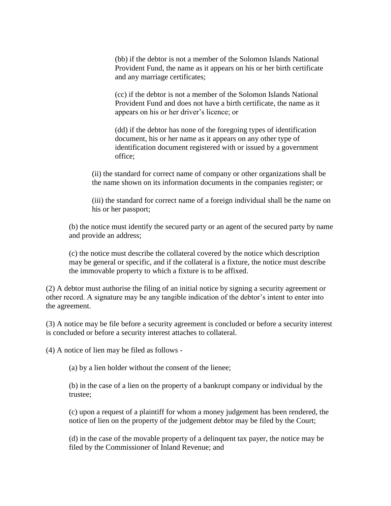(bb) if the debtor is not a member of the Solomon Islands National Provident Fund, the name as it appears on his or her birth certificate and any marriage certificates;

(cc) if the debtor is not a member of the Solomon Islands National Provident Fund and does not have a birth certificate, the name as it appears on his or her driver's licence; or

(dd) if the debtor has none of the foregoing types of identification document, his or her name as it appears on any other type of identification document registered with or issued by a government office;

(ii) the standard for correct name of company or other organizations shall be the name shown on its information documents in the companies register; or

(iii) the standard for correct name of a foreign individual shall be the name on his or her passport;

(b) the notice must identify the secured party or an agent of the secured party by name and provide an address;

(c) the notice must describe the collateral covered by the notice which description may be general or specific, and if the collateral is a fixture, the notice must describe the immovable property to which a fixture is to be affixed.

(2) A debtor must authorise the filing of an initial notice by signing a security agreement or other record. A signature may be any tangible indication of the debtor's intent to enter into the agreement.

(3) A notice may be file before a security agreement is concluded or before a security interest is concluded or before a security interest attaches to collateral.

(4) A notice of lien may be filed as follows -

(a) by a lien holder without the consent of the lienee;

(b) in the case of a lien on the property of a bankrupt company or individual by the trustee;

(c) upon a request of a plaintiff for whom a money judgement has been rendered, the notice of lien on the property of the judgement debtor may be filed by the Court;

(d) in the case of the movable property of a delinquent tax payer, the notice may be filed by the Commissioner of Inland Revenue; and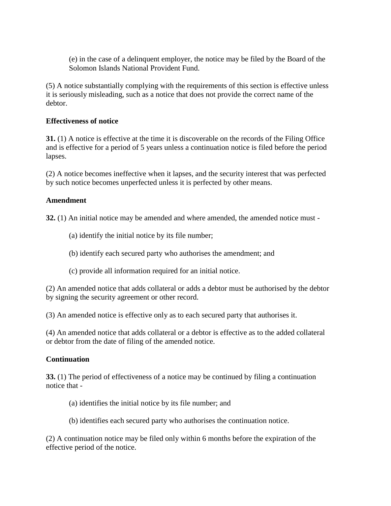(e) in the case of a delinquent employer, the notice may be filed by the Board of the Solomon Islands National Provident Fund.

(5) A notice substantially complying with the requirements of this section is effective unless it is seriously misleading, such as a notice that does not provide the correct name of the debtor.

## **Effectiveness of notice**

**31.** (1) A notice is effective at the time it is discoverable on the records of the Filing Office and is effective for a period of 5 years unless a continuation notice is filed before the period lapses.

(2) A notice becomes ineffective when it lapses, and the security interest that was perfected by such notice becomes unperfected unless it is perfected by other means.

## **Amendment**

**32.** (1) An initial notice may be amended and where amended, the amended notice must -

- (a) identify the initial notice by its file number;
- (b) identify each secured party who authorises the amendment; and
- (c) provide all information required for an initial notice.

(2) An amended notice that adds collateral or adds a debtor must be authorised by the debtor by signing the security agreement or other record.

(3) An amended notice is effective only as to each secured party that authorises it.

(4) An amended notice that adds collateral or a debtor is effective as to the added collateral or debtor from the date of filing of the amended notice.

# **Continuation**

**33.** (1) The period of effectiveness of a notice may be continued by filing a continuation notice that -

- (a) identifies the initial notice by its file number; and
- (b) identifies each secured party who authorises the continuation notice.

(2) A continuation notice may be filed only within 6 months before the expiration of the effective period of the notice.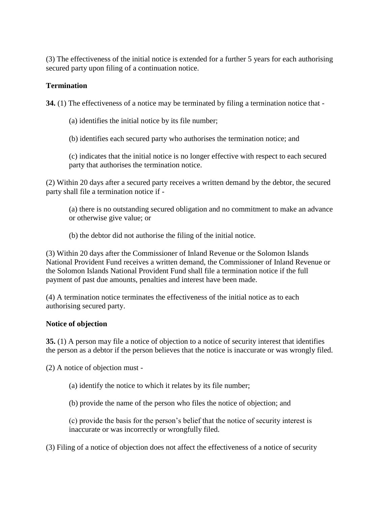(3) The effectiveness of the initial notice is extended for a further 5 years for each authorising secured party upon filing of a continuation notice.

## **Termination**

**34.** (1) The effectiveness of a notice may be terminated by filing a termination notice that -

(a) identifies the initial notice by its file number;

(b) identifies each secured party who authorises the termination notice; and

(c) indicates that the initial notice is no longer effective with respect to each secured party that authorises the termination notice.

(2) Within 20 days after a secured party receives a written demand by the debtor, the secured party shall file a termination notice if -

(a) there is no outstanding secured obligation and no commitment to make an advance or otherwise give value; or

(b) the debtor did not authorise the filing of the initial notice.

(3) Within 20 days after the Commissioner of Inland Revenue or the Solomon Islands National Provident Fund receives a written demand, the Commissioner of Inland Revenue or the Solomon Islands National Provident Fund shall file a termination notice if the full payment of past due amounts, penalties and interest have been made.

(4) A termination notice terminates the effectiveness of the initial notice as to each authorising secured party.

### **Notice of objection**

**35.** (1) A person may file a notice of objection to a notice of security interest that identifies the person as a debtor if the person believes that the notice is inaccurate or was wrongly filed.

(2) A notice of objection must -

(a) identify the notice to which it relates by its file number;

(b) provide the name of the person who files the notice of objection; and

(c) provide the basis for the person's belief that the notice of security interest is inaccurate or was incorrectly or wrongfully filed.

(3) Filing of a notice of objection does not affect the effectiveness of a notice of security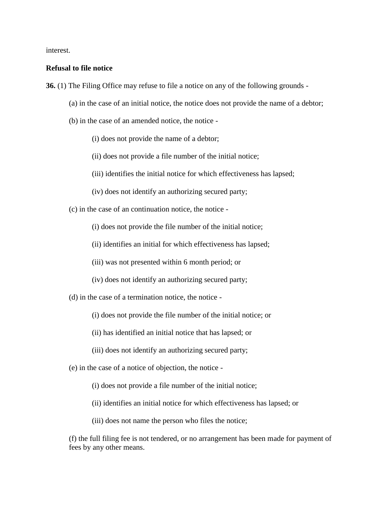interest.

#### **Refusal to file notice**

**36.** (1) The Filing Office may refuse to file a notice on any of the following grounds -

- (a) in the case of an initial notice, the notice does not provide the name of a debtor;
- (b) in the case of an amended notice, the notice -

(i) does not provide the name of a debtor;

(ii) does not provide a file number of the initial notice;

(iii) identifies the initial notice for which effectiveness has lapsed;

(iv) does not identify an authorizing secured party;

(c) in the case of an continuation notice, the notice -

(i) does not provide the file number of the initial notice;

(ii) identifies an initial for which effectiveness has lapsed;

(iii) was not presented within 6 month period; or

(iv) does not identify an authorizing secured party;

(d) in the case of a termination notice, the notice -

(i) does not provide the file number of the initial notice; or

(ii) has identified an initial notice that has lapsed; or

(iii) does not identify an authorizing secured party;

(e) in the case of a notice of objection, the notice -

(i) does not provide a file number of the initial notice;

(ii) identifies an initial notice for which effectiveness has lapsed; or

(iii) does not name the person who files the notice;

(f) the full filing fee is not tendered, or no arrangement has been made for payment of fees by any other means.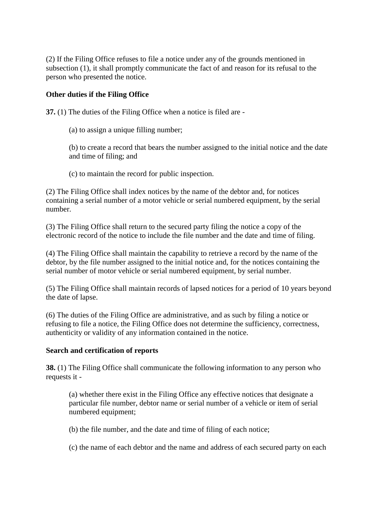(2) If the Filing Office refuses to file a notice under any of the grounds mentioned in subsection (1), it shall promptly communicate the fact of and reason for its refusal to the person who presented the notice.

## **Other duties if the Filing Office**

**37.** (1) The duties of the Filing Office when a notice is filed are -

(a) to assign a unique filling number;

(b) to create a record that bears the number assigned to the initial notice and the date and time of filing; and

(c) to maintain the record for public inspection.

(2) The Filing Office shall index notices by the name of the debtor and, for notices containing a serial number of a motor vehicle or serial numbered equipment, by the serial number.

(3) The Filing Office shall return to the secured party filing the notice a copy of the electronic record of the notice to include the file number and the date and time of filing.

(4) The Filing Office shall maintain the capability to retrieve a record by the name of the debtor, by the file number assigned to the initial notice and, for the notices containing the serial number of motor vehicle or serial numbered equipment, by serial number.

(5) The Filing Office shall maintain records of lapsed notices for a period of 10 years beyond the date of lapse.

(6) The duties of the Filing Office are administrative, and as such by filing a notice or refusing to file a notice, the Filing Office does not determine the sufficiency, correctness, authenticity or validity of any information contained in the notice.

### **Search and certification of reports**

**38.** (1) The Filing Office shall communicate the following information to any person who requests it -

(a) whether there exist in the Filing Office any effective notices that designate a particular file number, debtor name or serial number of a vehicle or item of serial numbered equipment;

(b) the file number, and the date and time of filing of each notice;

(c) the name of each debtor and the name and address of each secured party on each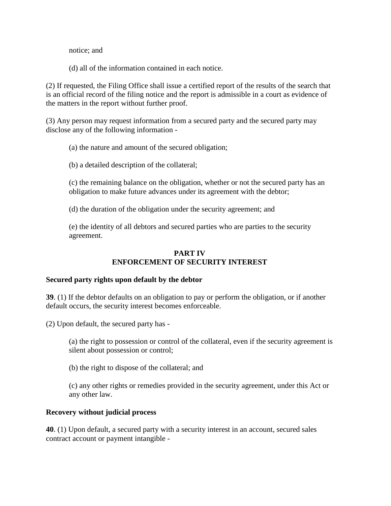notice; and

(d) all of the information contained in each notice.

(2) If requested, the Filing Office shall issue a certified report of the results of the search that is an official record of the filing notice and the report is admissible in a court as evidence of the matters in the report without further proof.

(3) Any person may request information from a secured party and the secured party may disclose any of the following information -

(a) the nature and amount of the secured obligation;

(b) a detailed description of the collateral;

(c) the remaining balance on the obligation, whether or not the secured party has an obligation to make future advances under its agreement with the debtor;

(d) the duration of the obligation under the security agreement; and

(e) the identity of all debtors and secured parties who are parties to the security agreement.

# **PART IV ENFORCEMENT OF SECURITY INTEREST**

### **Secured party rights upon default by the debtor**

**39**. (1) If the debtor defaults on an obligation to pay or perform the obligation, or if another default occurs, the security interest becomes enforceable.

(2) Upon default, the secured party has -

(a) the right to possession or control of the collateral, even if the security agreement is silent about possession or control;

(b) the right to dispose of the collateral; and

(c) any other rights or remedies provided in the security agreement, under this Act or any other law.

### **Recovery without judicial process**

**40**. (1) Upon default, a secured party with a security interest in an account, secured sales contract account or payment intangible -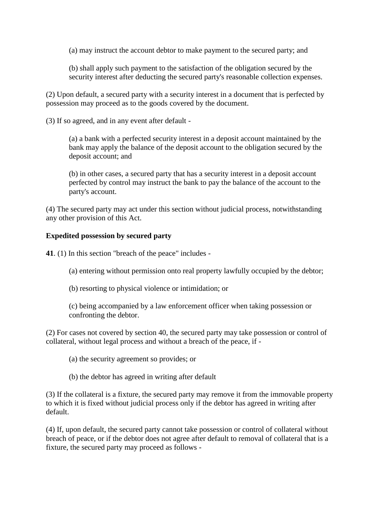(a) may instruct the account debtor to make payment to the secured party; and

(b) shall apply such payment to the satisfaction of the obligation secured by the security interest after deducting the secured party's reasonable collection expenses.

(2) Upon default, a secured party with a security interest in a document that is perfected by possession may proceed as to the goods covered by the document.

(3) If so agreed, and in any event after default -

(a) a bank with a perfected security interest in a deposit account maintained by the bank may apply the balance of the deposit account to the obligation secured by the deposit account; and

(b) in other cases, a secured party that has a security interest in a deposit account perfected by control may instruct the bank to pay the balance of the account to the party's account.

(4) The secured party may act under this section without judicial process, notwithstanding any other provision of this Act.

# **Expedited possession by secured party**

**41**. (1) In this section "breach of the peace" includes -

(a) entering without permission onto real property lawfully occupied by the debtor;

(b) resorting to physical violence or intimidation; or

(c) being accompanied by a law enforcement officer when taking possession or confronting the debtor.

(2) For cases not covered by section 40, the secured party may take possession or control of collateral, without legal process and without a breach of the peace, if -

(a) the security agreement so provides; or

(b) the debtor has agreed in writing after default

(3) If the collateral is a fixture, the secured party may remove it from the immovable property to which it is fixed without judicial process only if the debtor has agreed in writing after default.

(4) If, upon default, the secured party cannot take possession or control of collateral without breach of peace, or if the debtor does not agree after default to removal of collateral that is a fixture, the secured party may proceed as follows -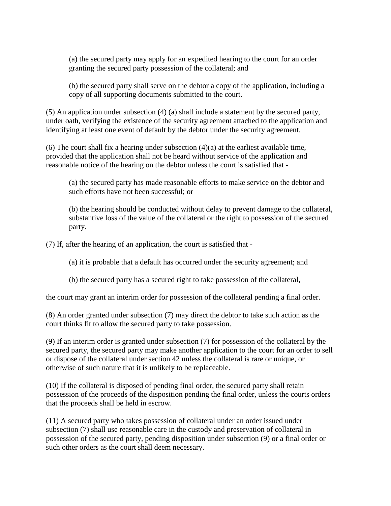(a) the secured party may apply for an expedited hearing to the court for an order granting the secured party possession of the collateral; and

(b) the secured party shall serve on the debtor a copy of the application, including a copy of all supporting documents submitted to the court.

(5) An application under subsection (4) (a) shall include a statement by the secured party, under oath, verifying the existence of the security agreement attached to the application and identifying at least one event of default by the debtor under the security agreement.

(6) The court shall fix a hearing under subsection  $(4)(a)$  at the earliest available time, provided that the application shall not be heard without service of the application and reasonable notice of the hearing on the debtor unless the court is satisfied that -

(a) the secured party has made reasonable efforts to make service on the debtor and such efforts have not been successful; or

(b) the hearing should be conducted without delay to prevent damage to the collateral, substantive loss of the value of the collateral or the right to possession of the secured party.

(7) If, after the hearing of an application, the court is satisfied that -

(a) it is probable that a default has occurred under the security agreement; and

(b) the secured party has a secured right to take possession of the collateral,

the court may grant an interim order for possession of the collateral pending a final order.

(8) An order granted under subsection (7) may direct the debtor to take such action as the court thinks fit to allow the secured party to take possession.

(9) If an interim order is granted under subsection (7) for possession of the collateral by the secured party, the secured party may make another application to the court for an order to sell or dispose of the collateral under section 42 unless the collateral is rare or unique, or otherwise of such nature that it is unlikely to be replaceable.

(10) If the collateral is disposed of pending final order, the secured party shall retain possession of the proceeds of the disposition pending the final order, unless the courts orders that the proceeds shall be held in escrow.

(11) A secured party who takes possession of collateral under an order issued under subsection (7) shall use reasonable care in the custody and preservation of collateral in possession of the secured party, pending disposition under subsection (9) or a final order or such other orders as the court shall deem necessary.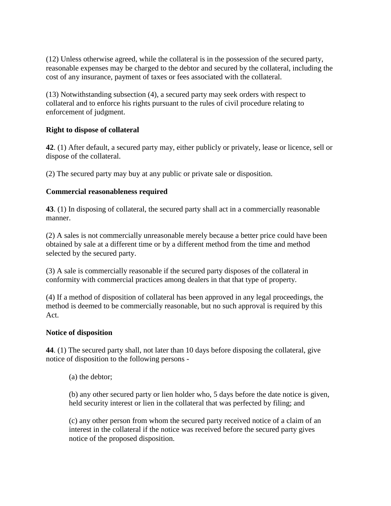(12) Unless otherwise agreed, while the collateral is in the possession of the secured party, reasonable expenses may be charged to the debtor and secured by the collateral, including the cost of any insurance, payment of taxes or fees associated with the collateral.

(13) Notwithstanding subsection (4), a secured party may seek orders with respect to collateral and to enforce his rights pursuant to the rules of civil procedure relating to enforcement of judgment.

# **Right to dispose of collateral**

**42**. (1) After default, a secured party may, either publicly or privately, lease or licence, sell or dispose of the collateral.

(2) The secured party may buy at any public or private sale or disposition.

## **Commercial reasonableness required**

**43**. (1) In disposing of collateral, the secured party shall act in a commercially reasonable manner.

(2) A sales is not commercially unreasonable merely because a better price could have been obtained by sale at a different time or by a different method from the time and method selected by the secured party.

(3) A sale is commercially reasonable if the secured party disposes of the collateral in conformity with commercial practices among dealers in that that type of property.

(4) If a method of disposition of collateral has been approved in any legal proceedings, the method is deemed to be commercially reasonable, but no such approval is required by this Act.

### **Notice of disposition**

**44**. (1) The secured party shall, not later than 10 days before disposing the collateral, give notice of disposition to the following persons -

(a) the debtor;

(b) any other secured party or lien holder who, 5 days before the date notice is given, held security interest or lien in the collateral that was perfected by filing; and

(c) any other person from whom the secured party received notice of a claim of an interest in the collateral if the notice was received before the secured party gives notice of the proposed disposition.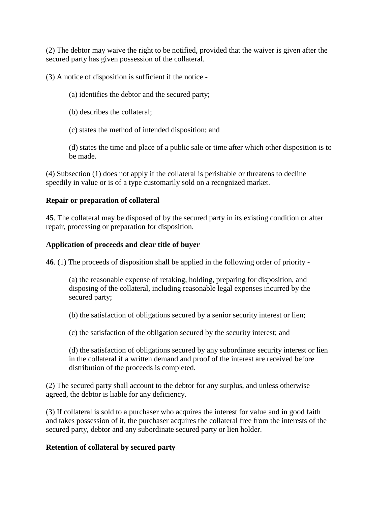(2) The debtor may waive the right to be notified, provided that the waiver is given after the secured party has given possession of the collateral.

(3) A notice of disposition is sufficient if the notice -

- (a) identifies the debtor and the secured party;
- (b) describes the collateral;
- (c) states the method of intended disposition; and

(d) states the time and place of a public sale or time after which other disposition is to be made.

(4) Subsection (1) does not apply if the collateral is perishable or threatens to decline speedily in value or is of a type customarily sold on a recognized market.

# **Repair or preparation of collateral**

**45**. The collateral may be disposed of by the secured party in its existing condition or after repair, processing or preparation for disposition.

# **Application of proceeds and clear title of buyer**

**46**. (1) The proceeds of disposition shall be applied in the following order of priority -

(a) the reasonable expense of retaking, holding, preparing for disposition, and disposing of the collateral, including reasonable legal expenses incurred by the secured party;

(b) the satisfaction of obligations secured by a senior security interest or lien;

(c) the satisfaction of the obligation secured by the security interest; and

(d) the satisfaction of obligations secured by any subordinate security interest or lien in the collateral if a written demand and proof of the interest are received before distribution of the proceeds is completed.

(2) The secured party shall account to the debtor for any surplus, and unless otherwise agreed, the debtor is liable for any deficiency.

(3) If collateral is sold to a purchaser who acquires the interest for value and in good faith and takes possession of it, the purchaser acquires the collateral free from the interests of the secured party, debtor and any subordinate secured party or lien holder.

# **Retention of collateral by secured party**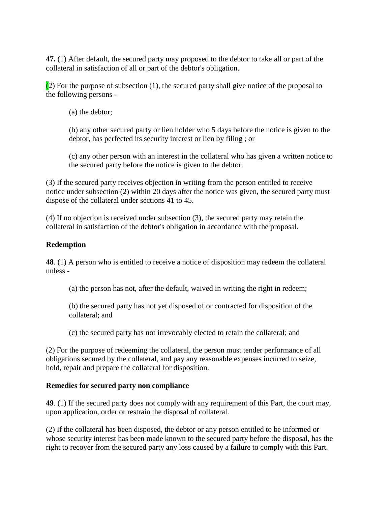**47.** (1) After default, the secured party may proposed to the debtor to take all or part of the collateral in satisfaction of all or part of the debtor's obligation.

(2) For the purpose of subsection (1), the secured party shall give notice of the proposal to the following persons -

(a) the debtor;

(b) any other secured party or lien holder who 5 days before the notice is given to the debtor, has perfected its security interest or lien by filing ; or

(c) any other person with an interest in the collateral who has given a written notice to the secured party before the notice is given to the debtor.

(3) If the secured party receives objection in writing from the person entitled to receive notice under subsection (2) within 20 days after the notice was given, the secured party must dispose of the collateral under sections 41 to 45.

(4) If no objection is received under subsection (3), the secured party may retain the collateral in satisfaction of the debtor's obligation in accordance with the proposal.

# **Redemption**

**48**. (1) A person who is entitled to receive a notice of disposition may redeem the collateral unless -

(a) the person has not, after the default, waived in writing the right in redeem;

(b) the secured party has not yet disposed of or contracted for disposition of the collateral; and

(c) the secured party has not irrevocably elected to retain the collateral; and

(2) For the purpose of redeeming the collateral, the person must tender performance of all obligations secured by the collateral, and pay any reasonable expenses incurred to seize, hold, repair and prepare the collateral for disposition.

# **Remedies for secured party non compliance**

**49**. (1) If the secured party does not comply with any requirement of this Part, the court may, upon application, order or restrain the disposal of collateral.

(2) If the collateral has been disposed, the debtor or any person entitled to be informed or whose security interest has been made known to the secured party before the disposal, has the right to recover from the secured party any loss caused by a failure to comply with this Part.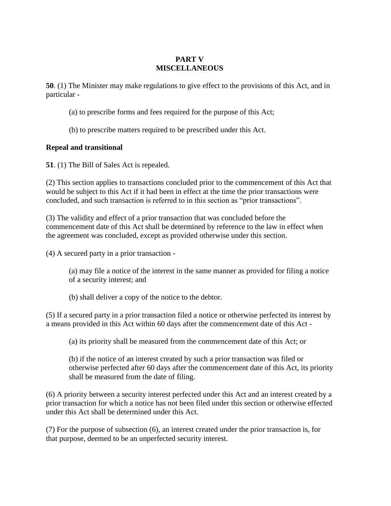# **PART V MISCELLANEOUS**

**50**. (1) The Minister may make regulations to give effect to the provisions of this Act, and in particular -

- (a) to prescribe forms and fees required for the purpose of this Act;
- (b) to prescribe matters required to be prescribed under this Act.

## **Repeal and transitional**

**51**. (1) The Bill of Sales Act is repealed.

(2) This section applies to transactions concluded prior to the commencement of this Act that would be subject to this Act if it had been in effect at the time the prior transactions were concluded, and such transaction is referred to in this section as "prior transactions".

(3) The validity and effect of a prior transaction that was concluded before the commencement date of this Act shall be determined by reference to the law in effect when the agreement was concluded, except as provided otherwise under this section.

(4) A secured party in a prior transaction -

(a) may file a notice of the interest in the same manner as provided for filing a notice of a security interest; and

(b) shall deliver a copy of the notice to the debtor.

(5) If a secured party in a prior transaction filed a notice or otherwise perfected its interest by a means provided in this Act within 60 days after the commencement date of this Act -

(a) its priority shall be measured from the commencement date of this Act; or

(b) if the notice of an interest created by such a prior transaction was filed or otherwise perfected after 60 days after the commencement date of this Act, its priority shall be measured from the date of filing.

(6) A priority between a security interest perfected under this Act and an interest created by a prior transaction for which a notice has not been filed under this section or otherwise effected under this Act shall be determined under this Act.

(7) For the purpose of subsection (6), an interest created under the prior transaction is, for that purpose, deemed to be an unperfected security interest.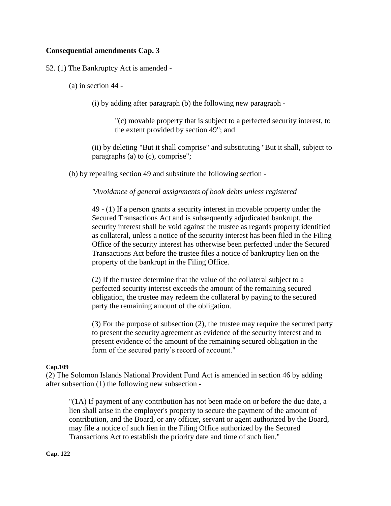## **Consequential amendments Cap. 3**

### 52. (1) The Bankruptcy Act is amended -

(a) in section 44 -

(i) by adding after paragraph (b) the following new paragraph -

"(c) movable property that is subject to a perfected security interest, to the extent provided by section 49"; and

(ii) by deleting "But it shall comprise" and substituting "But it shall, subject to paragraphs (a) to (c), comprise";

(b) by repealing section 49 and substitute the following section -

*"Avoidance of general assignments of book debts unless registered*

49 - (1) If a person grants a security interest in movable property under the Secured Transactions Act and is subsequently adjudicated bankrupt, the security interest shall be void against the trustee as regards property identified as collateral, unless a notice of the security interest has been filed in the Filing Office of the security interest has otherwise been perfected under the Secured Transactions Act before the trustee files a notice of bankruptcy lien on the property of the bankrupt in the Filing Office.

(2) If the trustee determine that the value of the collateral subject to a perfected security interest exceeds the amount of the remaining secured obligation, the trustee may redeem the collateral by paying to the secured party the remaining amount of the obligation.

(3) For the purpose of subsection (2), the trustee may require the secured party to present the security agreement as evidence of the security interest and to present evidence of the amount of the remaining secured obligation in the form of the secured party's record of account."

#### **Cap.109**

(2) The Solomon Islands National Provident Fund Act is amended in section 46 by adding after subsection (1) the following new subsection -

"(1A) If payment of any contribution has not been made on or before the due date, a lien shall arise in the employer's property to secure the payment of the amount of contribution, and the Board, or any officer, servant or agent authorized by the Board, may file a notice of such lien in the Filing Office authorized by the Secured Transactions Act to establish the priority date and time of such lien."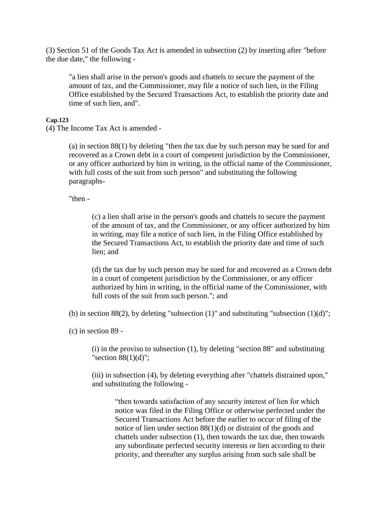(3) Section 51 of the Goods Tax Act is amended in subsection (2) by inserting after "before the due date," the following -

"a lien shall arise in the person's goods and chattels to secure the payment of the amount of tax, and the Commissioner, may file a notice of such lien, in the Filing Office established by the Secured Transactions Act, to establish the priority date and time of such lien, and".

#### **Cap.123**

(4) The Income Tax Act is amended -

(a) in section 88(1) by deleting "then the tax due by such person may be sued for and recovered as a Crown debt in a court of competent jurisdiction by the Commissioner, or any officer authorized by him in writing, in the official name of the Commissioner, with full costs of the suit from such person" and substituting the following paragraphs-

"then -

(c) a lien shall arise in the person's goods and chattels to secure the payment of the amount of tax, and the Commissioner, or any officer authorized by him in writing, may file a notice of such lien, in the Filing Office established by the Secured Transactions Act, to establish the priority date and time of such lien; and

(d) the tax due by such person may be sued for and recovered as a Crown debt in a court of competent jurisdiction by the Commissioner, or any officer authorized by him in writing, in the official name of the Commissioner, with full costs of the suit from such person."; and

(b) in section  $88(2)$ , by deleting "subsection  $(1)$ " and substituting "subsection  $(1)(d)$ ";

(c) in section 89 -

 $(i)$  in the proviso to subsection  $(1)$ , by deleting "section 88" and substituting "section 88(1)(d)";

(iii) in subsection (4), by deleting everything after "chattels distrained upon," and substituting the following -

"then towards satisfaction of any security interest of lien for which notice was filed in the Filing Office or otherwise perfected under the Secured Transactions Act before the earlier to occur of filing of the notice of lien under section 88(1)(d) or distraint of the goods and chattels under subsection (1), then towards the tax due, then towards any subordinate perfected security interests or lien according to their priority, and thereafter any surplus arising from such sale shall be